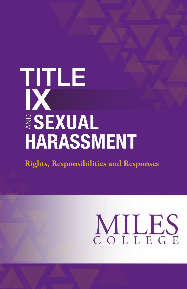## TITLE IX **ESEXUAL HARASSMENT**

**Rights, Responsibilities and Responses**

# MILES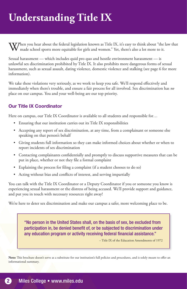## **Understanding Title IX**

 $\Delta V$ hen you hear about the federal legislation known as Title IX, it's easy to think about "the law that made school sports more equitable for girls and women." Yet, there's also a lot more to it.

Sexual harassment — which includes quid pro quo and hostile environment harassment — is unlawful sex discrimination prohibited by Title IX. It also prohibits more dangerous forms of sexual harassment, such as sexual assault, dating violence, domestic violence and stalking (see page 6 for more information).

We take these violations very seriously, as we work to keep you safe. We'll respond effectively and immediately when there's trouble, and ensure a fair process for all involved. Sex discrimination has *no* place on our campus. You and your well-being are our top priority.

#### Our Title IX Coordinator

Here on campus, our Title IX Coordinator is available to all students and responsible for...

- Ensuring that our institution carries out its Title IX responsibilities
- Accepting any report of sex discrimination, at any time, from a complainant or someone else speaking on that person's behalf
- Giving students full information so they can make informed choices about whether or when to report incidents of sex discrimination
- Contacting complainants confidentially and promptly to discuss supportive measures that can be put in place, whether or not they file a formal complaint
- Explaining the process for filing a complaint (if a student chooses to do so)
- Acting without bias and conflicts of interest, and serving impartially

You can talk with the Title IX Coordinator or a Deputy Coordinator if you or someone you know is experiencing sexual harassment or the distress of being accused. We'll provide support and guidance, and put you in touch with necessary resources right away!

We're here to deter sex discrimination and make our campus a safer, more welcoming place to be.

"No person in the United States shall, on the basis of sex, be excluded from participation in, be denied benefit of, or be subjected to discrimination under any education program or activity receiving federal financial assistance."

– Title IX of the Education Amendments of 1972

Note: This brochure doesn't serve as a substitute for our institution's full policies and procedures, and is solely meant to offer an informational summary.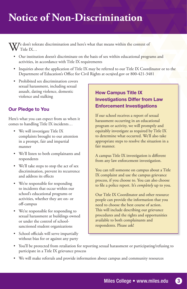## **Notice of Non-Discrimination**

 $\mathcal{W}$ e don't tolerate discrimination and here's what that means within the context of Title IX…

- Our institution doesn't discriminate on the basis of sex within educational programs and activities, in accordance with Title IX requirements
- Inquiries about the application of Title IX may be referred to our Title IX Coordinator or to the Department of Education's Office for Civil Rights at ocr@ed.gov or 800-421-3481
- Prohibited sex discrimination covers sexual harassment, including sexual assault, dating violence, domestic violence and stalking

#### Our Pledge to You

Here's what you can expect from us when it comes to handling Title IX incidents…

- We will investigate Title IX complaints brought to our attention in a prompt, fair and impartial manner
- We'll listen to both complainants and respondents
- We'll take steps to stop the act of sex discrimination, prevent its recurrence and address its effects
- We're responsible for responding to incidents that occur within our school's educational programs or activities, whether they are on- or off-campus
- We're responsible for responding to sexual harassment at buildings owned or under the control of schoolsanctioned student organizations
- School officials will serve impartially without bias for or against any party

#### How Campus Title IX Investigations Differ from Law Enforcement Investigations

If our school receives a report of sexual harassment occurring in an educational program or activity, we will promptly and equitably investigate as required by Title IX to determine what occurred. We'll also take appropriate steps to resolve the situation in a fair manner.

A campus Title IX investigation is different from any law enforcement investigation.

You can tell someone on campus about a Title IX complaint and use the campus grievance process, if you choose to. You can also choose to file a police report. It's *completely* up to you.

Our Title IX Coordinator and other resource people can provide the information that you need to choose the best course of action. This will include describing our grievance procedures and the rights and opportunities available to both complainants and respondents. Please ask!

- You'll be protected from retaliation for reporting sexual harassment or participating/refusing to participate in a Title IX grievance process
- We will make referrals and provide information about campus and community resources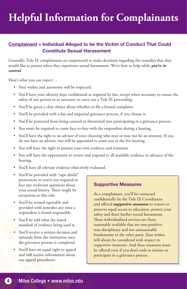## **Helpful Information for Complainants**

#### Complainant = Individual Alleged to be the Victim of Conduct That Could Constitute Sexual Harassment

Generally, Title IX complainants are empowered to make decisions regarding the remedies that they would like to pursue when they experience sexual harassment. We're here to help while *you're in control.*

Here's what you can expect…

- Your wishes and autonomy will be respected.
- You'll have your identity kept confidential as required by law, except when necessary to ensure the safety of any person or as necessary to carry out a Title IX proceeding.
- You'll be given a clear choice about whether to file a formal complaint.
- You'll be provided with a fair and impartial grievance process, if you choose it.
- You'll be protected from being coerced or threatened into participating in a grievance process.
- You won't be required to come face-to-face with the respondent during a hearing.
- You'll have the right to an advisor of your choosing who may or may not be an attorney. If you do not have an advisor, one will be appointed to assist you in the live hearing.
- You will have the right to present your own evidence and witnesses.
- You will have the opportunity to review and respond to all available evidence in advance of the hearing.
- You'll have all relevant evidence objectively evaluated.
- You'll be provided with "rape shield" protections so you're not required to face any irrelevant questions about your sexual history. There might be exceptions to this rule.
- You'll be treated equitably and provided with remedies any time a respondent is found responsible.
- You'll be told what the stated standard of evidence being used is.
- You'll receive a written decision and rationale from the institution once the grievance process is completed.
- You'll have an equal right to appeal and will receive information about our appeal procedures.

#### Supportive Measures

As a complainant, you'll be contacted confidentially by the Title IX Coordinator and offered **supportive measures** to restore or preserve equal access to education, protect your safety and deter further sexual harassment. These individualized services are those reasonably available that are non-punitive, non-disciplinary and not unreasonably burdensome to the other party. Your wishes will always be considered with respect to supportive measures. And these measures must be offered even if you don't wish to initiate or participate in a grievance process.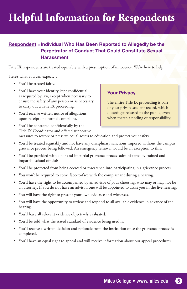## **Helpful Information for Respondents**

#### Respondent =Individual Who Has Been Reported to Allegedly be the Perpetrator of Conduct That Could Constitute Sexual **Harassment**

Title IX respondents are treated equitably with a presumption of innocence. We're here to help.

Here's what you can expect…

- You'll be treated fairly.
- You'll have your identity kept confidential as required by law, except when necessary to ensure the safety of any person or as necessary to carry out a Title IX proceeding.
- You'll receive written notice of allegations upon receipt of a formal complaint.

#### Your Privacy

The entire Title IX proceeding is part of your private student record, which doesn't get released to the public, even when there's a finding of responsibility.

- You'll be contacted confidentially by the Title IX Coordinator and offered supportive measures to restore or preserve equal access to education and protect your safety.
- You'll be treated equitably and not have any disciplinary sanctions imposed without the campus grievance process being followed. An emergency removal would be an exception to this.
- You'll be provided with a fair and impartial grievance process administered by trained and impartial school officials.
- You'll be protected from being coerced or threatened into participating in a grievance process.
- You won't be required to come face-to-face with the complainant during a hearing.
- You'll have the right to be accompanied by an advisor of your choosing, who may or may not be an attorney. If you do not have an advisor, one will be appointed to assist you in the live hearing.
- You will have the right to present your own evidence and witnesses.
- You will have the opportunity to review and respond to all available evidence in advance of the hearing.
- You'll have all relevant evidence objectively evaluated.
- You'll be told what the stated standard of evidence being used is.
- You'll receive a written decision and rationale from the institution once the grievance process is completed.
- You'll have an equal right to appeal and will receive information about our appeal procedures.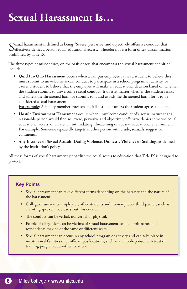Sexual harassment is defined as being "Severe, pervasive, and objectively offensive conduct that **D**effectively denies a person equal educational access." Therefore, it is a form of sex discrimination prohibited by Title IX.

The three types of misconduct, on the basis of sex, that encompass the sexual harassment definition include:

**• Quid Pro Quo Harassment** occurs when a campus employee causes a student to believe they must submit to unwelcome sexual conduct to participate in a school program or activity, or causes a student to believe that the employee will make an educational decision based on whether the student submits to unwelcome sexual conduct. It doesn't matter whether the student resists and suffers the threatened harm or submits to it and avoids the threatened harm for it to be considered sexual harassment.

For example: A faculty member threatens to fail a student unless the student agrees to a date.

- **• Hostile Environment Harassment** occurs when unwelcome conduct of a sexual nature that a reasonable person would find so severe, pervasive and objectively offensive denies someone equal educational access, or creates an intimidating, threatening or abusive educational environment. For example: Someone repeatedly targets another person with crude, sexually suggestive comments.
- **• Any Instance of Sexual Assault, Dating Violence, Domestic Violence or Stalking,** as defined by the institution's policy.

All these forms of sexual harassment jeopardize the equal access to education that Title IX is designed to protect.

#### Key Points

- Sexual harassment can take different forms depending on the harasser and the nature of the harassment.
- College or university employees, other students and non-employee third parties, such as a visiting speaker, may carry out this conduct.
- The conduct can be verbal, nonverbal or physical.
- People of all genders can be victims of sexual harassment, and complainants and respondents may be of the same or different sexes.
- Sexual harassment can occur in any school program or activity and can take place in institutional facilities or at off-campus locations, such as a school-sponsored retreat or training program at another location.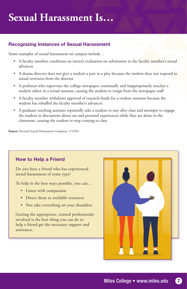#### Recognizing Instances of Sexual Harassment

Some examples of sexual harassment on campus include…

- A faculty member conditions an intern's evaluation on submission to the faculty member's sexual advances
- A drama director does not give a student a part in a play because the student does not respond to sexual overtures from the director
- A professor who supervises the college newspaper continually and inappropriately touches a student editor in a sexual manner, causing the student to resign from the newspaper staff
- A faculty member withdraws approval of research funds for a student assistant because the student has rebuffed the faculty member's advances
- A graduate teaching assistant repeatedly asks a student to stay after class and attempts to engage the student in discussions about sex and personal experiences while they are alone in the classroom, causing the student to stop coming to class

**Source:** Revised Sexual Harassment Guidance, 1/19/01

#### How to Help a Friend

Do you have a friend who has experienced sexual harassment of some type?

To help in the best ways possible, you can…

- Listen with compassion
- Direct them to available resources
- Not take everything on your shoulders

Getting the appropriate, trained professionals involved is the best thing you can do to help a friend get the necessary support and assistance.

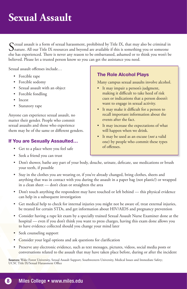## **Sexual Assault**

Sexual assault is a form of sexual harassment, prohibited by Title IX, that may also be criminal in **I** nature. All our Title IX resources and beyond are available if this is something you or someone else has experienced. There is never any reason to be embarrassed, ashamed or to think you won't be believed. Please let a trusted person know so you can get the assistance you need.

Sexual assault offenses include…

- Forcible rape
- Forcible sodomy
- Sexual assault with an object
- Forcible fondling
- Incest
- Statutory rape

Anyone can experience sexual assault, no matter their gender. People who commit sexual assaults and those who experience them may be of the same or different genders.

#### If You are Sexually Assaulted…

- Get to a place where you feel safe
- Seek a friend you can trust

#### The Role Alcohol Plays

Many campus sexual assaults involve alcohol.

- It may impair a person's judgment, making it difficult to take heed of risk cues or indications that a person doesn't want to engage in sexual activity.
- It may make it difficult for a person to recall important information about the events after the fact.
- It may increase the expectations of what will happen when we drink.
- It may be used as an excuse (*not* a valid one) by people who commit these types of offenses.
- Don't shower, bathe any part of your body, douche, urinate, defecate, use medications or brush your teeth, if possible
- Stay in the clothes you are wearing or, if you've already changed, bring clothes, sheets and anything that was in contact with you during the assault in a paper bag (not plastic!) or wrapped in a clean sheet — don't clean or straighten the area
- Don't touch anything the respondent may have touched or left behind this physical evidence can help in a subsequent investigation
- Get medical help to check for internal injuries you might not be aware of, treat external injuries, be treated for certain STDs, and get information about HIV/AIDS and pregnancy prevention
- Consider having a rape kit exam by a specially trained Sexual Assault Nurse Examiner done at the hospital — even if you don't think you want to press charges, having this exam done allows you to have evidence collected should you change your mind later
- Seek counseling support
- Consider your legal options and ask questions for clarification
- Preserve any electronic evidence, such as text messages, pictures, videos, social media posts or conversations related to the assault that may have taken place before, during or after the incident

**Sources:** Wake Forest University, Sexual Assault Support; Southwestern University, Medical Issues and Immediate Safety; UCSC Title IX/Sexual Harassment Office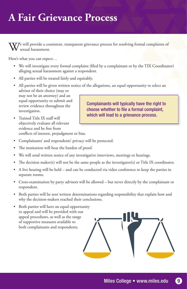## **A Fair Grievance Process**

 $\nabla \mathcal{I}$ e will provide a consistent, transparent grievance process for resolving formal complaints of sexual harassment.

Here's what you can expect…

- We will investigate every formal complaint (filed by a complainant or by the TIX Coordinator) alleging sexual harassment against a respondent.
- All parties will be treated fairly and equitably.
- All parties will be given written notice of the allegations, an equal opportunity to select an advisor of their choice (may or may not be an attorney) and an equal opportunity to submit and review evidence throughout the investigation. Complainants will typically have the right to choose whether to file a formal complaint,
- Trained Title IX staff will objectively evaluate all relevant evidence and be free from conflicts of interest, prejudgment or bias.
- Complainants' and respondents' privacy will be protected.
- The institution will bear the burden of proof.
- We will send written notice of any investigative interviews, meetings or hearings.
- The decision maker(s) will not be the same people as the investigator(s) or Title IX coordinator.
- A live hearing will be held and can be conducted via video conference to keep the parties in separate rooms.
- Cross-examination by party advisors will be allowed but never directly by the complainant or respondent.
- Both parties will be sent written determinations regarding responsibility that explain how and why the decision-makers reached their conclusions.
- Both parties will have an equal opportunity to appeal and will be provided with our appeal procedures, as well as the range of supportive measures available to both complainants and respondents.



which will lead to a grievance process.

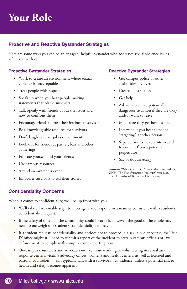## **Your Role**

#### Proactive and Reactive Bystander Strategies

Here are some ways you can be an engaged, helpful bystander who addresses sexual violence issues safely and with care.

#### Proactive Bystander Strategies

- Work to create an environment where sexual violence is unacceptable
- Treat people with respect
- Speak up when you hear people making statements that blame survivors
- Talk openly with friends about the issues and how to confront them
- Encourage friends to trust their instincts to stay safe
- Be a knowledgeable resource for survivors
- Don't laugh at sexist jokes or comments
- Look out for friends at parties, bars and other gatherings
- Educate yourself and your friends
- Use campus resources
- Attend an awareness event
- Empower survivors to tell their stories

#### Reactive Bystander Strategies

- Get campus police or other authorities involved
- Create a distraction
- Get help
- Ask someone in a potentially dangerous situation if they are okay and/or want to leave
- Make sure they get home safely
- Intervene if you hear someone "targeting" another person
- Separate someone too intoxicated to consent from a potential perpetrator
- Say or do *something*

**Sources:** "What Can I Do?" Prevention Innovations, UNH; The Transformation Project/Green Dot, The University of Tennessee Chattanooga

#### Confidentiality Concerns

When it comes to confidentiality, we'll be up front with you.

- We'll take all reasonable steps to investigate and respond in a manner consistent with a student's confidentiality request.
- If the safety of others in the community could be at risk, however, the good of the whole may need to outweigh one student's confidentiality request.
- If a student requests confidentiality and decides not to proceed in a sexual violence case, the Title IX office might still need to submit a report of the incident to certain campus officials or law enforcement to comply with campus crime reporting laws.
- On-campus counselors and advocates like those working or volunteering in sexual assault response centers, victim's advocacy offices, women's and health centers, as well as licensed and pastoral counselors — can typically talk with a survivor in confidence, unless a potential risk to health and safety becomes apparent.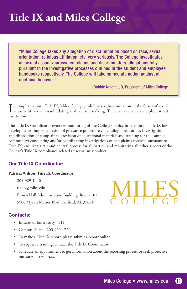## **Title IX and Miles College**

"Miles College takes any allegation of discrimination based on race, sexual orientation, religious affiliation, etc. very seriously. The College investigates all sexual assault/harassment claims and discriminatory allegations fully pursuant to the investigative processes outlined in the student and employee handbooks respectively. The College will take immediate action against all unethical behavior."

-Bobbie Knight, JD, President of Miles College

In compliance with Title IX, Miles College prohibits sex discrimination in the forms of sexual<br>harassment, sexual assault, dating violence and stalking. These behaviors have no place at out harassment, sexual assault, dating violence and stalking. These behaviors have no place at out institution.

The Title IX Coordinator oversees monitoring of the College's policy in relation to Title IX law developments; implementation of grievance procedures, including notification, investigation, and disposition of complaints; provision of educational materials and training for the campus community; conducting and/or coordinating investigations of complaints received pursuant to Title IX; ensuring a fair and neutral process for all parties; and monitoring all other aspects of the College's Title IX compliance related to sexual misconduct.

#### Our Title IX Coordinator:

#### **Patricia Wilson, Title IX Coordinator**

205-929-1440 titleix@miles.edu Brown Hall Administration Building, Room 101 5500 Myron Massey Blvd, Fairfield, AL 35064

#### Contacts:

- In cases of Emergency 911
- Campus Police 205-929-1720
- To make a Title IX report, please submit a report online
- To request a training, contact the Title IX Coordinator
- Schedule an appointment to get information about the reporting process or seek protective measures or resources.



**AILES**